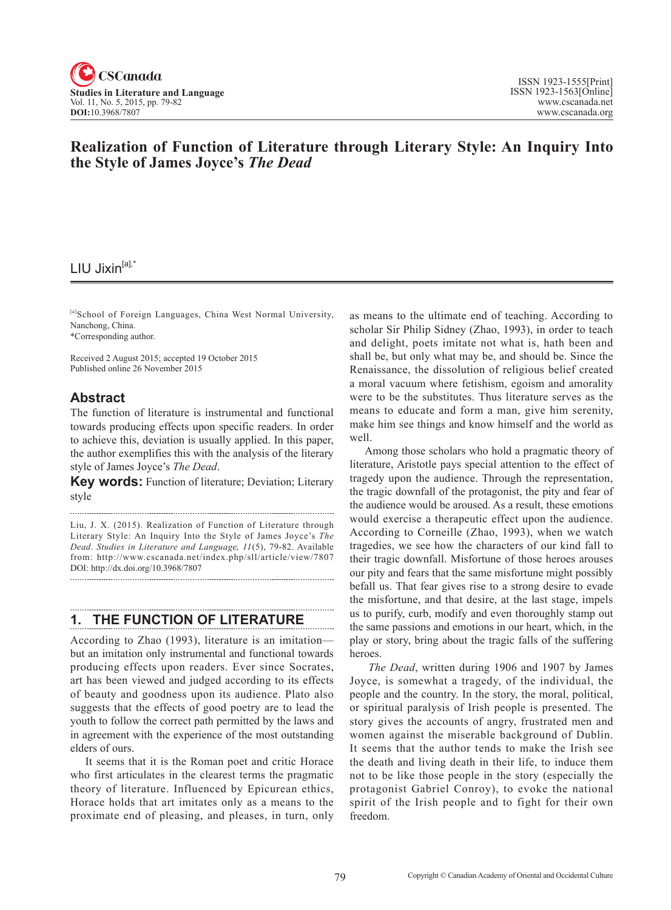

# **Realization of Function of Literature through Literary Style: An Inquiry Into the Style of James Joyce's** *The Dead*

# LIU Jixin<sup>[a],\*</sup>

[a]School of Foreign Languages, China West Normal University, Nanchong, China.

\*Corresponding author.

Received 2 August 2015; accepted 19 October 2015 Published online 26 November 2015

## **Abstract**

The function of literature is instrumental and functional towards producing effects upon specific readers. In order to achieve this, deviation is usually applied. In this paper, the author exemplifies this with the analysis of the literary style of James Joyce's *The Dead*.

**Key words:** Function of literature; Deviation; Literary style

Liu, J. X. (2015). Realization of Function of Literature through Literary Style: An Inquiry Into the Style of James Joyce's *The Dead*. *Studies in Literature and Language*, <sup>11</sup>(5), 79-82. Available from: http://www.cscanada.net/index.php/sll/article/view/7807 DOI: http://dx.doi.org/10.3968/7807

## **1. THE FUNCTION OF LITERATURE**

According to Zhao (1993), literature is an imitation but an imitation only instrumental and functional towards producing effects upon readers. Ever since Socrates, art has been viewed and judged according to its effects of beauty and goodness upon its audience. Plato also suggests that the effects of good poetry are to lead the youth to follow the correct path permitted by the laws and in agreement with the experience of the most outstanding elders of ours.

It seems that it is the Roman poet and critic Horace who first articulates in the clearest terms the pragmatic theory of literature. Influenced by Epicurean ethics, Horace holds that art imitates only as a means to the proximate end of pleasing, and pleases, in turn, only

as means to the ultimate end of teaching. According to scholar Sir Philip Sidney (Zhao, 1993), in order to teach and delight, poets imitate not what is, hath been and shall be, but only what may be, and should be. Since the Renaissance, the dissolution of religious belief created a moral vacuum where fetishism, egoism and amorality were to be the substitutes. Thus literature serves as the means to educate and form a man, give him serenity, make him see things and know himself and the world as well.

Among those scholars who hold a pragmatic theory of literature, Aristotle pays special attention to the effect of tragedy upon the audience. Through the representation, the tragic downfall of the protagonist, the pity and fear of the audience would be aroused. As a result, these emotions would exercise a therapeutic effect upon the audience. According to Corneille (Zhao, 1993), when we watch tragedies, we see how the characters of our kind fall to their tragic downfall. Misfortune of those heroes arouses our pity and fears that the same misfortune might possibly befall us. That fear gives rise to a strong desire to evade the misfortune, and that desire, at the last stage, impels us to purify, curb, modify and even thoroughly stamp out the same passions and emotions in our heart, which, in the play or story, bring about the tragic falls of the suffering heroes.

*The Dead*, written during 1906 and 1907 by James Joyce, is somewhat a tragedy, of the individual, the people and the country. In the story, the moral, political, or spiritual paralysis of Irish people is presented. The story gives the accounts of angry, frustrated men and women against the miserable background of Dublin. It seems that the author tends to make the Irish see the death and living death in their life, to induce them not to be like those people in the story (especially the protagonist Gabriel Conroy), to evoke the national spirit of the Irish people and to fight for their own freedom.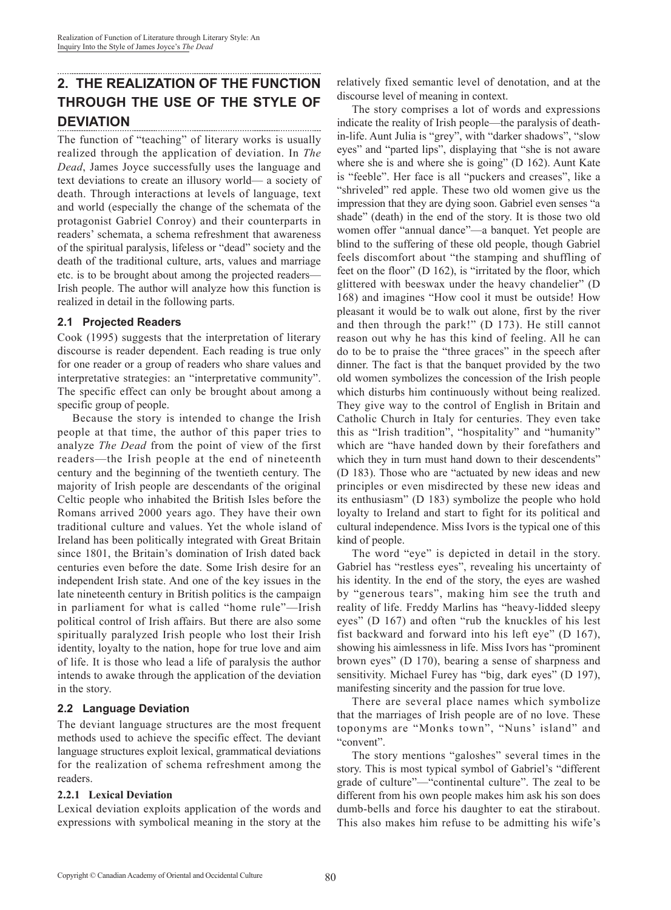## **2. THE REALIZATION OF THE FUNCTION THROUGH THE USE OF THE STYLE OF DEVIATION**

The function of "teaching" of literary works is usually realized through the application of deviation. In *The Dead*, James Joyce successfully uses the language and text deviations to create an illusory world— a society of death. Through interactions at levels of language, text and world (especially the change of the schemata of the protagonist Gabriel Conroy) and their counterparts in readers' schemata, a schema refreshment that awareness of the spiritual paralysis, lifeless or "dead" society and the death of the traditional culture, arts, values and marriage etc. is to be brought about among the projected readers— Irish people. The author will analyze how this function is realized in detail in the following parts.

### **2.1 Projected Readers**

Cook (1995) suggests that the interpretation of literary discourse is reader dependent. Each reading is true only for one reader or a group of readers who share values and interpretative strategies: an "interpretative community". The specific effect can only be brought about among a specific group of people.

Because the story is intended to change the Irish people at that time, the author of this paper tries to analyze *The Dead* from the point of view of the first readers—the Irish people at the end of nineteenth century and the beginning of the twentieth century. The majority of Irish people are descendants of the original Celtic people who inhabited the British Isles before the Romans arrived 2000 years ago. They have their own traditional culture and values. Yet the whole island of Ireland has been politically integrated with Great Britain since 1801, the Britain's domination of Irish dated back centuries even before the date. Some Irish desire for an independent Irish state. And one of the key issues in the late nineteenth century in British politics is the campaign in parliament for what is called "home rule"—Irish political control of Irish affairs. But there are also some spiritually paralyzed Irish people who lost their Irish identity, loyalty to the nation, hope for true love and aim of life. It is those who lead a life of paralysis the author intends to awake through the application of the deviation in the story.

## **2.2 Language Deviation**

The deviant language structures are the most frequent methods used to achieve the specific effect. The deviant language structures exploit lexical, grammatical deviations for the realization of schema refreshment among the readers.

### **2.2.1 Lexical Deviation**

Lexical deviation exploits application of the words and expressions with symbolical meaning in the story at the relatively fixed semantic level of denotation, and at the discourse level of meaning in context.

The story comprises a lot of words and expressions indicate the reality of Irish people—the paralysis of deathin-life. Aunt Julia is "grey", with "darker shadows", "slow eyes" and "parted lips", displaying that "she is not aware where she is and where she is going" (D 162). Aunt Kate is "feeble". Her face is all "puckers and creases", like a "shriveled" red apple. These two old women give us the impression that they are dying soon. Gabriel even senses "a shade" (death) in the end of the story. It is those two old women offer "annual dance"—a banquet. Yet people are blind to the suffering of these old people, though Gabriel feels discomfort about "the stamping and shuffling of feet on the floor" (D 162), is "irritated by the floor, which glittered with beeswax under the heavy chandelier" (D 168) and imagines "How cool it must be outside! How pleasant it would be to walk out alone, first by the river and then through the park!" (D 173). He still cannot reason out why he has this kind of feeling. All he can do to be to praise the "three graces" in the speech after dinner. The fact is that the banquet provided by the two old women symbolizes the concession of the Irish people which disturbs him continuously without being realized. They give way to the control of English in Britain and Catholic Church in Italy for centuries. They even take this as "Irish tradition", "hospitality" and "humanity" which are "have handed down by their forefathers and which they in turn must hand down to their descendents" (D 183). Those who are "actuated by new ideas and new principles or even misdirected by these new ideas and its enthusiasm" (D 183) symbolize the people who hold loyalty to Ireland and start to fight for its political and cultural independence. Miss Ivors is the typical one of this kind of people.

The word "eye" is depicted in detail in the story. Gabriel has "restless eyes", revealing his uncertainty of his identity. In the end of the story, the eyes are washed by "generous tears", making him see the truth and reality of life. Freddy Marlins has "heavy-lidded sleepy eyes" (D 167) and often "rub the knuckles of his lest fist backward and forward into his left eye" (D 167), showing his aimlessness in life. Miss Ivors has "prominent brown eyes" (D 170), bearing a sense of sharpness and sensitivity. Michael Furey has "big, dark eyes" (D 197), manifesting sincerity and the passion for true love.

There are several place names which symbolize that the marriages of Irish people are of no love. These toponyms are "Monks town", "Nuns' island" and "convent".

The story mentions "galoshes" several times in the story. This is most typical symbol of Gabriel's "different grade of culture"—"continental culture". The zeal to be different from his own people makes him ask his son does dumb-bells and force his daughter to eat the stirabout. This also makes him refuse to be admitting his wife's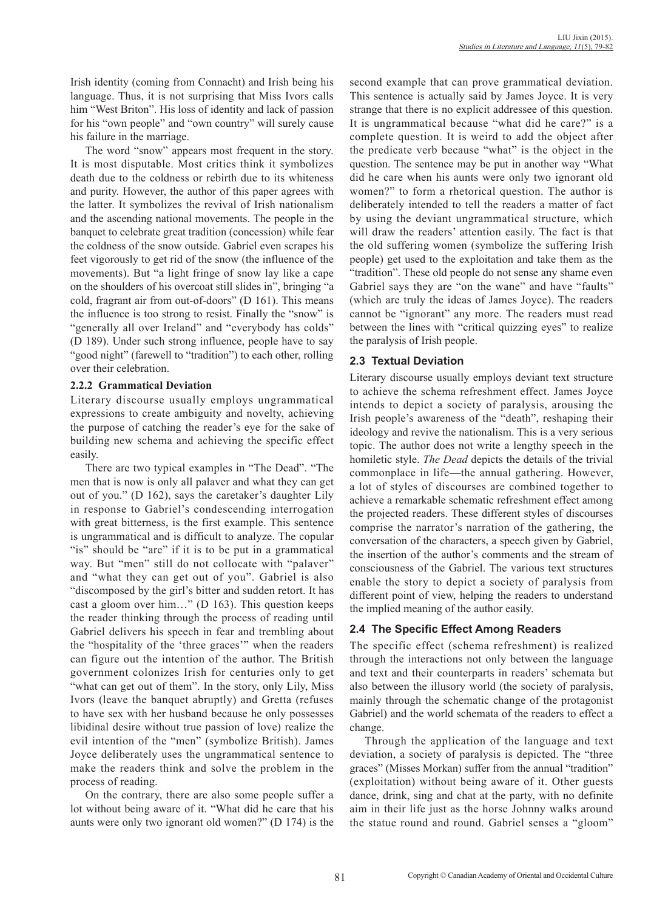Irish identity (coming from Connacht) and Irish being his language. Thus, it is not surprising that Miss Ivors calls him "West Briton". His loss of identity and lack of passion for his "own people" and "own country" will surely cause his failure in the marriage.

The word "snow" appears most frequent in the story. It is most disputable. Most critics think it symbolizes death due to the coldness or rebirth due to its whiteness and purity. However, the author of this paper agrees with the latter. It symbolizes the revival of Irish nationalism and the ascending national movements. The people in the banquet to celebrate great tradition (concession) while fear the coldness of the snow outside. Gabriel even scrapes his feet vigorously to get rid of the snow (the influence of the movements). But "a light fringe of snow lay like a cape on the shoulders of his overcoat still slides in", bringing "a cold, fragrant air from out-of-doors" (D 161). This means the influence is too strong to resist. Finally the "snow" is "generally all over Ireland" and "everybody has colds" (D 189). Under such strong influence, people have to say "good night" (farewell to "tradition") to each other, rolling over their celebration.

### **2.2.2 Grammatical Deviation**

Literary discourse usually employs ungrammatical expressions to create ambiguity and novelty, achieving the purpose of catching the reader's eye for the sake of building new schema and achieving the specific effect easily.

There are two typical examples in "The Dead". "The men that is now is only all palaver and what they can get out of you." (D 162), says the caretaker's daughter Lily in response to Gabriel's condescending interrogation with great bitterness, is the first example. This sentence is ungrammatical and is difficult to analyze. The copular "is" should be "are" if it is to be put in a grammatical way. But "men" still do not collocate with "palaver" and "what they can get out of you". Gabriel is also "discomposed by the girl's bitter and sudden retort. It has cast a gloom over him…" (D 163). This question keeps the reader thinking through the process of reading until Gabriel delivers his speech in fear and trembling about the "hospitality of the 'three graces'" when the readers can figure out the intention of the author. The British government colonizes Irish for centuries only to get "what can get out of them". In the story, only Lily, Miss Ivors (leave the banquet abruptly) and Gretta (refuses to have sex with her husband because he only possesses libidinal desire without true passion of love) realize the evil intention of the "men" (symbolize British). James Joyce deliberately uses the ungrammatical sentence to make the readers think and solve the problem in the process of reading.

On the contrary, there are also some people suffer a lot without being aware of it. "What did he care that his aunts were only two ignorant old women?" (D 174) is the

second example that can prove grammatical deviation. This sentence is actually said by James Joyce. It is very strange that there is no explicit addressee of this question. It is ungrammatical because "what did he care?" is a complete question. It is weird to add the object after the predicate verb because "what" is the object in the question. The sentence may be put in another way "What did he care when his aunts were only two ignorant old women?" to form a rhetorical question. The author is deliberately intended to tell the readers a matter of fact by using the deviant ungrammatical structure, which will draw the readers' attention easily. The fact is that the old suffering women (symbolize the suffering Irish people) get used to the exploitation and take them as the "tradition". These old people do not sense any shame even Gabriel says they are "on the wane" and have "faults" (which are truly the ideas of James Joyce). The readers cannot be "ignorant" any more. The readers must read between the lines with "critical quizzing eyes" to realize the paralysis of Irish people.

### **2.3 Textual Deviation**

Literary discourse usually employs deviant text structure to achieve the schema refreshment effect. James Joyce intends to depict a society of paralysis, arousing the Irish people's awareness of the "death", reshaping their ideology and revive the nationalism. This is a very serious topic. The author does not write a lengthy speech in the homiletic style. *The Dead* depicts the details of the trivial commonplace in life—the annual gathering. However, a lot of styles of discourses are combined together to achieve a remarkable schematic refreshment effect among the projected readers. These different styles of discourses comprise the narrator's narration of the gathering, the conversation of the characters, a speech given by Gabriel, the insertion of the author's comments and the stream of consciousness of the Gabriel. The various text structures enable the story to depict a society of paralysis from different point of view, helping the readers to understand the implied meaning of the author easily.

## **2.4 The Specific Effect Among Readers**

The specific effect (schema refreshment) is realized through the interactions not only between the language and text and their counterparts in readers' schemata but also between the illusory world (the society of paralysis, mainly through the schematic change of the protagonist Gabriel) and the world schemata of the readers to effect a change.

Through the application of the language and text deviation, a society of paralysis is depicted. The "three graces" (Misses Morkan) suffer from the annual "tradition" (exploitation) without being aware of it. Other guests dance, drink, sing and chat at the party, with no definite aim in their life just as the horse Johnny walks around the statue round and round. Gabriel senses a "gloom"